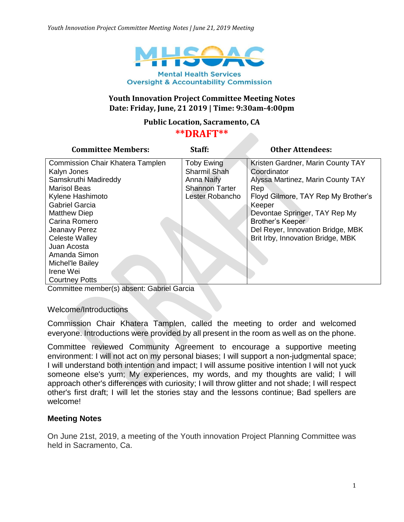

# **Youth Innovation Project Committee Meeting Notes Date: Friday, June, 21 2019 | Time: 9:30am-4:00pm**

#### **Public Location, Sacramento, CA**

#### **\*\*DRAFT\*\***

| <b>Committee Members:</b>        | Staff:                | <b>Other Attendees:</b>             |
|----------------------------------|-----------------------|-------------------------------------|
| Commission Chair Khatera Tamplen | <b>Toby Ewing</b>     | Kristen Gardner, Marin County TAY   |
| Kalyn Jones                      | Sharmil Shah          | Coordinator                         |
| Samskruthi Madireddy             | <b>Anna Naify</b>     | Alyssa Martinez, Marin County TAY   |
| <b>Marisol Beas</b>              | <b>Shannon Tarter</b> | Rep                                 |
| Kylene Hashimoto                 | Lester Robancho       | Floyd Gilmore, TAY Rep My Brother's |
| <b>Gabriel Garcia</b>            |                       | Keeper                              |
| <b>Matthew Diep</b>              |                       | Devontae Springer, TAY Rep My       |
| Carina Romero                    |                       | Brother's Keeper                    |
| Jeanavy Perez                    |                       | Del Reyer, Innovation Bridge, MBK   |
| <b>Celeste Walley</b>            |                       | Brit Irby, Innovation Bridge, MBK   |
| Juan Acosta                      |                       |                                     |
| Amanda Simon                     |                       |                                     |
| Michel'le Bailey                 |                       |                                     |
| Irene Wei                        |                       |                                     |
| <b>Courtney Potts</b>            |                       |                                     |

Committee member(s) absent: Gabriel Garcia

Welcome/Introductions

Commission Chair Khatera Tamplen, called the meeting to order and welcomed everyone. Introductions were provided by all present in the room as well as on the phone.

Committee reviewed Community Agreement to encourage a supportive meeting environment: I will not act on my personal biases; I will support a non-judgmental space; I will understand both intention and impact; I will assume positive intention I will not yuck someone else's yum; My experiences, my words, and my thoughts are valid; I will approach other's differences with curiosity; I will throw glitter and not shade; I will respect other's first draft; I will let the stories stay and the lessons continue; Bad spellers are welcome!

#### **Meeting Notes**

On June 21st, 2019, a meeting of the Youth innovation Project Planning Committee was held in Sacramento, Ca.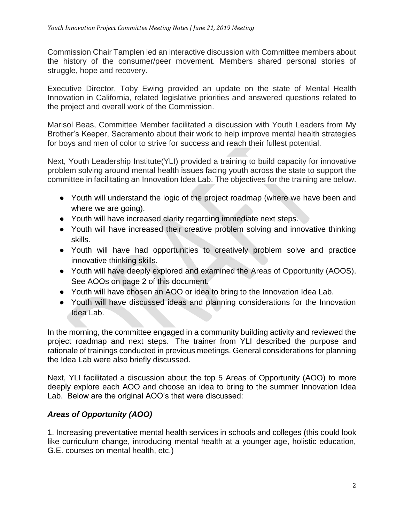Commission Chair Tamplen led an interactive discussion with Committee members about the history of the consumer/peer movement. Members shared personal stories of struggle, hope and recovery.

Executive Director, Toby Ewing provided an update on the state of Mental Health Innovation in California, related legislative priorities and answered questions related to the project and overall work of the Commission.

Marisol Beas, Committee Member facilitated a discussion with Youth Leaders from My Brother's Keeper, Sacramento about their work to help improve mental health strategies for boys and men of color to strive for success and reach their fullest potential.

Next, Youth Leadership Institute(YLI) provided a training to build capacity for innovative problem solving around mental health issues facing youth across the state to support the committee in facilitating an Innovation Idea Lab. The objectives for the training are below.

- Youth will understand the logic of the project roadmap (where we have been and where we are going).
- Youth will have increased clarity regarding immediate next steps.
- Youth will have increased their creative problem solving and innovative thinking skills.
- Youth will have had opportunities to creatively problem solve and practice innovative thinking skills.
- Youth will have deeply explored and examined the Areas of Opportunity (AOOS). See AOOs on page 2 of this document.
- Youth will have chosen an AOO or idea to bring to the Innovation Idea Lab.
- Youth will have discussed ideas and planning considerations for the Innovation Idea Lab.

In the morning, the committee engaged in a community building activity and reviewed the project roadmap and next steps. The trainer from YLI described the purpose and rationale of trainings conducted in previous meetings. General considerations for planning the Idea Lab were also briefly discussed.

Next, YLI facilitated a discussion about the top 5 Areas of Opportunity (AOO) to more deeply explore each AOO and choose an idea to bring to the summer Innovation Idea Lab. Below are the original AOO's that were discussed:

# *Areas of Opportunity (AOO)*

1. Increasing preventative mental health services in schools and colleges (this could look like curriculum change, introducing mental health at a younger age, holistic education, G.E. courses on mental health, etc.)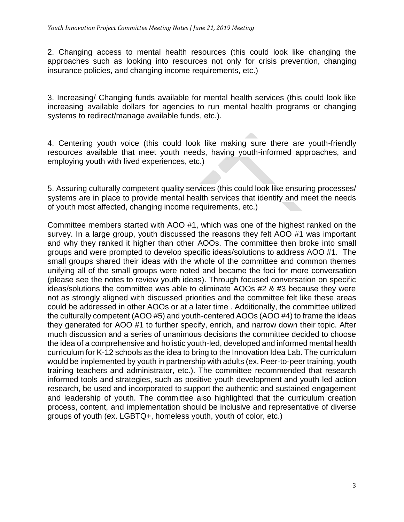2. Changing access to mental health resources (this could look like changing the approaches such as looking into resources not only for crisis prevention, changing insurance policies, and changing income requirements, etc.)

3. Increasing/ Changing funds available for mental health services (this could look like increasing available dollars for agencies to run mental health programs or changing systems to redirect/manage available funds, etc.).

4. Centering youth voice (this could look like making sure there are youth-friendly resources available that meet youth needs, having youth-informed approaches, and employing youth with lived experiences, etc.)

5. Assuring culturally competent quality services (this could look like ensuring processes/ systems are in place to provide mental health services that identify and meet the needs of youth most affected, changing income requirements, etc.)

Committee members started with AOO #1, which was one of the highest ranked on the survey. In a large group, youth discussed the reasons they felt AOO #1 was important and why they ranked it higher than other AOOs. The committee then broke into small groups and were prompted to develop specific ideas/solutions to address AOO #1. The small groups shared their ideas with the whole of the committee and common themes unifying all of the small groups were noted and became the foci for more conversation (please see the notes to review youth ideas). Through focused conversation on specific ideas/solutions the committee was able to eliminate AOOs #2 & #3 because they were not as strongly aligned with discussed priorities and the committee felt like these areas could be addressed in other AOOs or at a later time . Additionally, the committee utilized the culturally competent (AOO #5) and youth-centered AOOs (AOO #4) to frame the ideas they generated for AOO #1 to further specify, enrich, and narrow down their topic. After much discussion and a series of unanimous decisions the committee decided to choose the idea of a comprehensive and holistic youth-led, developed and informed mental health curriculum for K-12 schools as the idea to bring to the Innovation Idea Lab. The curriculum would be implemented by youth in partnership with adults (ex. Peer-to-peer training, youth training teachers and administrator, etc.). The committee recommended that research informed tools and strategies, such as positive youth development and youth-led action research, be used and incorporated to support the authentic and sustained engagement and leadership of youth. The committee also highlighted that the curriculum creation process, content, and implementation should be inclusive and representative of diverse groups of youth (ex. LGBTQ+, homeless youth, youth of color, etc.)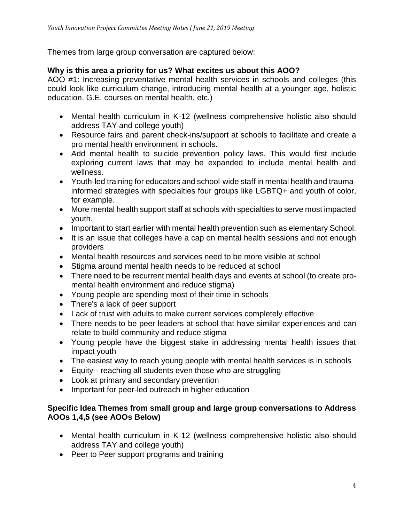Themes from large group conversation are captured below:

## **Why is this area a priority for us? What excites us about this AOO?**

AOO #1: Increasing preventative mental health services in schools and colleges (this could look like curriculum change, introducing mental health at a younger age, holistic education, G.E. courses on mental health, etc.)

- Mental health curriculum in K-12 (wellness comprehensive holistic also should address TAY and college youth)
- Resource fairs and parent check-ins/support at schools to facilitate and create a pro mental health environment in schools.
- Add mental health to suicide prevention policy laws. This would first include exploring current laws that may be expanded to include mental health and wellness.
- Youth-led training for educators and school-wide staff in mental health and traumainformed strategies with specialties four groups like LGBTQ+ and youth of color, for example.
- More mental health support staff at schools with specialties to serve most impacted youth.
- Important to start earlier with mental health prevention such as elementary School.
- It is an issue that colleges have a cap on mental health sessions and not enough providers
- Mental health resources and services need to be more visible at school
- Stigma around mental health needs to be reduced at school
- There need to be recurrent mental health days and events at school (to create promental health environment and reduce stigma)
- Young people are spending most of their time in schools
- There's a lack of peer support
- Lack of trust with adults to make current services completely effective
- There needs to be peer leaders at school that have similar experiences and can relate to build community and reduce stigma
- Young people have the biggest stake in addressing mental health issues that impact youth
- The easiest way to reach young people with mental health services is in schools
- Equity-- reaching all students even those who are struggling
- Look at primary and secondary prevention
- Important for peer-led outreach in higher education

## **Specific Idea Themes from small group and large group conversations to Address AOOs 1,4,5 (see AOOs Below)**

- Mental health curriculum in K-12 (wellness comprehensive holistic also should address TAY and college youth)
- Peer to Peer support programs and training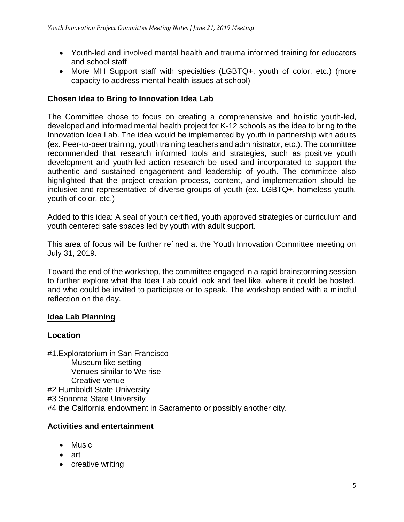- Youth-led and involved mental health and trauma informed training for educators and school staff
- More MH Support staff with specialties (LGBTQ+, youth of color, etc.) (more capacity to address mental health issues at school)

## **Chosen Idea to Bring to Innovation Idea Lab**

The Committee chose to focus on creating a comprehensive and holistic youth-led, developed and informed mental health project for K-12 schools as the idea to bring to the Innovation Idea Lab. The idea would be implemented by youth in partnership with adults (ex. Peer-to-peer training, youth training teachers and administrator, etc.). The committee recommended that research informed tools and strategies, such as positive youth development and youth-led action research be used and incorporated to support the authentic and sustained engagement and leadership of youth. The committee also highlighted that the project creation process, content, and implementation should be inclusive and representative of diverse groups of youth (ex. LGBTQ+, homeless youth, youth of color, etc.)

Added to this idea: A seal of youth certified, youth approved strategies or curriculum and youth centered safe spaces led by youth with adult support.

This area of focus will be further refined at the Youth Innovation Committee meeting on July 31, 2019.

Toward the end of the workshop, the committee engaged in a rapid brainstorming session to further explore what the Idea Lab could look and feel like, where it could be hosted, and who could be invited to participate or to speak. The workshop ended with a mindful reflection on the day.

# **Idea Lab Planning**

#### **Location**

#1.Exploratorium in San Francisco Museum like setting Venues similar to We rise Creative venue #2 Humboldt State University #3 Sonoma State University #4 the California endowment in Sacramento or possibly another city.

#### **Activities and entertainment**

- Music
- art
- creative writing